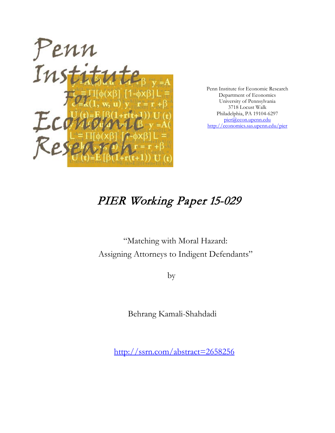

Penn Institute for Economic Research Department of Economics University of Pennsylvania 3718 Locust Walk Philadelphia, PA 19104-6297 [pier@econ.upenn.edu](mailto:pier@econ.upenn.edu) <http://economics.sas.upenn.edu/pier>

# PIER Working Paper 15-029

"Matching with Moral Hazard: Assigning Attorneys to Indigent Defendants"

by

Behrang Kamali-Shahdadi

[http://ssrn.com/abstract=2](http://ssrn.com/abstract_id=)658256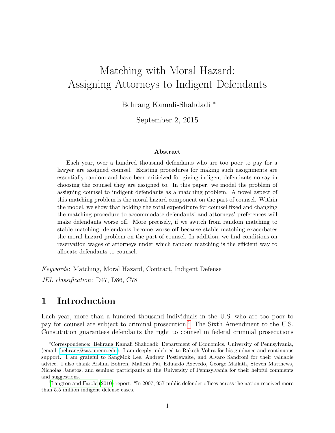# Matching with Moral Hazard: Assigning Attorneys to Indigent Defendants

Behrang Kamali-Shahdadi <sup>∗</sup>

September 2, 2015

#### Abstract

Each year, over a hundred thousand defendants who are too poor to pay for a lawyer are assigned counsel. Existing procedures for making such assignments are essentially random and have been criticized for giving indigent defendants no say in choosing the counsel they are assigned to. In this paper, we model the problem of assigning counsel to indigent defendants as a matching problem. A novel aspect of this matching problem is the moral hazard component on the part of counsel. Within the model, we show that holding the total expenditure for counsel fixed and changing the matching procedure to accommodate defendants' and attorneys' preferences will make defendants worse off. More precisely, if we switch from random matching to stable matching, defendants become worse off because stable matching exacerbates the moral hazard problem on the part of counsel. In addition, we find conditions on reservation wages of attorneys under which random matching is the efficient way to allocate defendants to counsel.

Keywords: Matching, Moral Hazard, Contract, Indigent Defense JEL classification: D47, D86, C78

# 1 Introduction

Each year, more than a hundred thousand individuals in the U.S. who are too poor to pay for counsel are subject to criminal prosecution.<sup>[1](#page-1-0)</sup> The Sixth Amendment to the U.S. Constitution guarantees defendants the right to counsel in federal criminal prosecutions

<sup>∗</sup>Correspondence: Behrang Kamali Shahdadi: Department of Economics, University of Pennsylvania, (email: [behrang@sas.upenn.edu\)](mailto:behrang@sas.upenn.edu). I am deeply indebted to Rakesh Vohra for his guidance and continuous support. I am grateful to SangMok Lee, Andrew Postlewaite, and Alvaro Sandroni for their valuable advice. I also thank Aislinn Bohren, Mallesh Pai, Eduardo Azevedo, George Mailath, Steven Matthews, Nicholas Janetos, and seminar participants at the University of Pennsylvania for their helpful comments and suggestions.

<span id="page-1-0"></span><sup>&</sup>lt;sup>1</sup>[Langton and Farole](#page-25-0) [\(2010\)](#page-25-0) report, "In 2007, 957 public defender offices across the nation received more than 5.5 million indigent defense cases."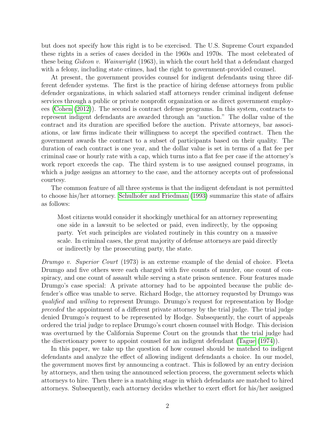but does not specify how this right is to be exercised. The U.S. Supreme Court expanded these rights in a series of cases decided in the 1960s and 1970s. The most celebrated of these being *Gideon v. Wainwright* (1963), in which the court held that a defendant charged with a felony, including state crimes, had the right to government-provided counsel.

At present, the government provides counsel for indigent defendants using three different defender systems. The first is the practice of hiring defense attorneys from public defender organizations, in which salaried staff attorneys render criminal indigent defense services through a public or private nonprofit organization or as direct government employees [\(Cohen \(2012\)](#page-24-0)). The second is contract defense programs. In this system, contracts to represent indigent defendants are awarded through an "auction." The dollar value of the contract and its duration are specified before the auction. Private attorneys, bar associations, or law firms indicate their willingness to accept the specified contract. Then the government awards the contract to a subset of participants based on their quality. The duration of each contract is one year, and the dollar value is set in terms of a flat fee per criminal case or hourly rate with a cap, which turns into a flat fee per case if the attorney's work report exceeds the cap. The third system is to use assigned counsel programs, in which a judge assigns an attorney to the case, and the attorney accepts out of professional courtesy.

The common feature of all three systems is that the indigent defendant is not permitted to choose his/her attorney. [Schulhofer and Friedman \(1993\)](#page-25-1) summarize this state of affairs as follows:

Most citizens would consider it shockingly unethical for an attorney representing one side in a lawsuit to be selected or paid, even indirectly, by the opposing party. Yet such principles are violated routinely in this country on a massive scale. In criminal cases, the great majority of defense attorneys are paid directly or indirectly by the prosecuting party, the state.

Drumgo v. Superior Court (1973) is an extreme example of the denial of choice. Fleeta Drumgo and five others were each charged with five counts of murder, one count of conspiracy, and one count of assault while serving a state prison sentence. Four features made Drumgo's case special: A private attorney had to be appointed because the public defender's office was unable to serve. Richard Hodge, the attorney requested by Drumgo was qualified and willing to represent Drumgo. Drumgo's request for representation by Hodge preceded the appointment of a different private attorney by the trial judge. The trial judge denied Drumgo's request to be represented by Hodge. Subsequently, the court of appeals ordered the trial judge to replace Drumgo's court chosen counsel with Hodge. This decision was overturned by the California Supreme Court on the grounds that the trial judge had the discretionary power to appoint counsel for an indigent defendant [\(Tague \(1974\)](#page-25-2)).

In this paper, we take up the question of how counsel should be matched to indigent defendants and analyze the effect of allowing indigent defendants a choice. In our model, the government moves first by announcing a contract. This is followed by an entry decision by attorneys, and then using the announced selection process, the government selects which attorneys to hire. Then there is a matching stage in which defendants are matched to hired attorneys. Subsequently, each attorney decides whether to exert effort for his/her assigned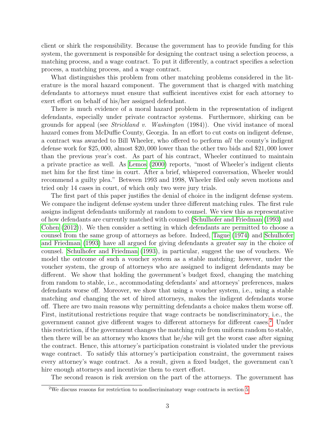client or shirk the responsibility. Because the government has to provide funding for this system, the government is responsible for designing the contract using a selection process, a matching process, and a wage contract. To put it differently, a contract specifies a selection process, a matching process, and a wage contract.

What distinguishes this problem from other matching problems considered in the literature is the moral hazard component. The government that is charged with matching defendants to attorneys must ensure that sufficient incentives exist for each attorney to exert effort on behalf of his/her assigned defendant.

There is much evidence of a moral hazard problem in the representation of indigent defendants, especially under private contractor systems. Furthermore, shirking can be grounds for appeal (see Strickland v. Washington (1984)). One vivid instance of moral hazard comes from McDuffie County, Georgia. In an effort to cut costs on indigent defense, a contract was awarded to Bill Wheeler, who offered to perform all the county's indigent defense work for \$25, 000, almost \$20, 000 lower than the other two bids and \$21, 000 lower than the previous year's cost. As part of his contract, Wheeler continued to maintain a private practice as well. As [Lemos \(2000\)](#page-25-3) reports, "most of Wheeler's indigent clients met him for the first time in court. After a brief, whispered conversation, Wheeler would recommend a guilty plea." Between 1993 and 1998, Wheeler filed only seven motions and tried only 14 cases in court, of which only two were jury trials.

The first part of this paper justifies the denial of choice in the indigent defense system. We compare the indigent defense system under three different matching rules. The first rule assigns indigent defendants uniformly at random to counsel. We view this as representative of how defendants are currently matched with counsel [\(Schulhofer and Friedman \(1993\)](#page-25-1) and [Cohen \(2012\)](#page-24-0)). We then consider a setting in which defendants are permitted to choose a counsel from the same group of attorneys as before. Indeed, [Tague \(1974\)](#page-25-2) and [Schulhofer](#page-25-1) [and Friedman \(1993\)](#page-25-1) have all argued for giving defendants a greater say in the choice of counsel. [Schulhofer and Friedman \(1993\)](#page-25-1), in particular, suggest the use of vouchers. We model the outcome of such a voucher system as a stable matching; however, under the voucher system, the group of attorneys who are assigned to indigent defendants may be different. We show that holding the government's budget fixed, changing the matching from random to stable, i.e., accommodating defendants' and attorneys' preferences, makes defendants worse off. Moreover, we show that using a voucher system, i.e., using a stable matching and changing the set of hired attorneys, makes the indigent defendants worse off. There are two main reasons why permitting defendants a choice makes them worse off. First, institutional restrictions require that wage contracts be nondiscriminatory, i.e., the government cannot give different wages to different attorneys for different cases.[2](#page-3-0) Under this restriction, if the government changes the matching rule from uniform random to stable, then there will be an attorney who knows that he/she will get the worst case after signing the contract. Hence, this attorney's participation constraint is violated under the previous wage contract. To satisfy this attorney's participation constraint, the government raises every attorney's wage contract. As a result, given a fixed budget, the government can't hire enough attorneys and incentivize them to exert effort.

The second reason is risk aversion on the part of the attorneys. The government has

<span id="page-3-0"></span> $2$ We discuss reasons for restriction to nondiscriminatory wage contracts in section [5.](#page-16-0)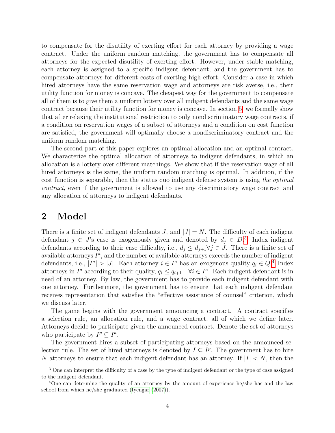to compensate for the disutility of exerting effort for each attorney by providing a wage contract. Under the uniform random matching, the government has to compensate all attorneys for the expected disutility of exerting effort. However, under stable matching, each attorney is assigned to a specific indigent defendant, and the government has to compensate attorneys for different costs of exerting high effort. Consider a case in which hired attorneys have the same reservation wage and attorneys are risk averse, i.e., their utility function for money is concave. The cheapest way for the government to compensate all of them is to give them a uniform lottery over all indigent defendants and the same wage contract because their utility function for money is concave. In section [5,](#page-16-0) we formally show that after relaxing the institutional restriction to only nondiscriminatory wage contracts, if a condition on reservation wages of a subset of attorneys and a condition on cost function are satisfied, the government will optimally choose a nondiscriminatory contract and the uniform random matching.

The second part of this paper explores an optimal allocation and an optimal contract. We characterize the optimal allocation of attorneys to indigent defendants, in which an allocation is a lottery over different matchings. We show that if the reservation wage of all hired attorneys is the same, the uniform random matching is optimal. In addition, if the cost function is separable, then the status quo indigent defense system is using the optimal contract, even if the government is allowed to use any discriminatory wage contract and any allocation of attorneys to indigent defendants.

### 2 Model

There is a finite set of indigent defendants J, and  $|J| = N$ . The difficulty of each indigent defendant  $j \in J$ 's case is exogenously given and denoted by  $d_j \in D$ <sup>[3](#page-4-0)</sup>. Index indigent defendants according to their case difficulty, i.e.,  $d_j \leq d_{j+1} \forall j \in J$ . There is a finite set of available attorneys  $I^a$ , and the number of available attorneys exceeds the number of indigent defendants, i.e.,  $|I^a| > |J|$ . Each attorney  $i \in I^a$  has an exogenous quality  $q_i \in Q$ .<sup>[4](#page-4-1)</sup> Index attorneys in  $I^a$  according to their quality,  $q_i \leq q_{i+1}$   $\forall i \in I^a$ . Each indigent defendant is in need of an attorney. By law, the government has to provide each indigent defendant with one attorney. Furthermore, the government has to ensure that each indigent defendant receives representation that satisfies the "effective assistance of counsel" criterion, which we discuss later.

The game begins with the government announcing a contract. A contract specifies a selection rule, an allocation rule, and a wage contract, all of which we define later. Attorneys decide to participate given the announced contract. Denote the set of attorneys who participate by  $I^p \subseteq I^a$ .

The government hires a subset of participating attorneys based on the announced selection rule. The set of hired attorneys is denoted by  $I \subseteq I^p$ . The government has to hire N attorneys to ensure that each indigent defendant has an attorney. If  $|I| < N$ , then the

<span id="page-4-0"></span><sup>&</sup>lt;sup>3</sup> One can interpret the difficulty of a case by the type of indigent defendant or the type of case assigned to the indigent defendant.

<span id="page-4-1"></span><sup>&</sup>lt;sup>4</sup>One can determine the quality of an attorney by the amount of experience he/she has and the law school from which he/she graduated [\(Iyengar](#page-25-4) [\(2007\)](#page-25-4)).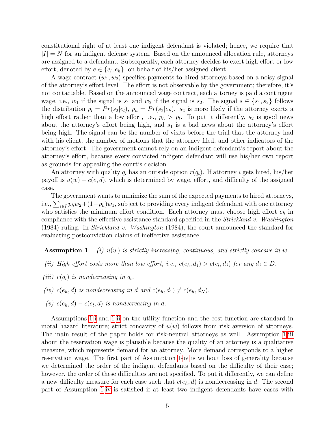constitutional right of at least one indigent defendant is violated; hence, we require that  $|I| = N$  for an indigent defense system. Based on the announced allocation rule, attorneys are assigned to a defendant. Subsequently, each attorney decides to exert high effort or low effort, denoted by  $e \in \{e_l, e_h\}$ , on behalf of his/her assigned client.

A wage contract  $(w_1, w_2)$  specifies payments to hired attorneys based on a noisy signal of the attorney's effort level. The effort is not observable by the government; therefore, it's not contactable. Based on the announced wage contract, each attorney is paid a contingent wage, i.e.,  $w_1$  if the signal is  $s_1$  and  $w_2$  if the signal is  $s_2$ . The signal  $s \in \{s_1, s_2\}$  follows the distribution  $p_l = Pr(s_2|e_l)$ ,  $p_h = Pr(s_2|e_h)$ .  $s_2$  is more likely if the attorney exerts a high effort rather than a low effort, i.e.,  $p_h > p_l$ . To put it differently,  $s_2$  is good news about the attorney's effort being high, and  $s_1$  is a bad news about the attorney's effort being high. The signal can be the number of visits before the trial that the attorney had with his client, the number of motions that the attorney filed, and other indicators of the attorney's effort. The government cannot rely on an indigent defendant's report about the attorney's effort, because every convicted indigent defendant will use his/her own report as grounds for appealing the court's decision.

An attorney with quality  $q_i$  has an outside option  $r(q_i)$ . If attorney i gets hired, his/her payoff is  $u(w) - c(e, d)$ , which is determined by wage, effort, and difficulty of the assigned case.

The government wants to minimize the sum of the expected payments to hired attorneys, i.e.,  $\sum_{i\in I} p_h w_2 + (1-p_h)w_1$ , subject to providing every indigent defendant with one attorney who satisfies the minimum effort condition. Each attorney must choose high effort  $e_h$  in compliance with the effective assistance standard specified in the Strickland v. Washington (1984) ruling. In Strickland v. Washington (1984), the court announced the standard for evaluating postconviction claims of ineffective assistance.

<span id="page-5-1"></span><span id="page-5-0"></span>**Assumption 1** (i)  $u(w)$  is strictly increasing, continuous, and strictly concave in w.

- <span id="page-5-2"></span>(ii) High effort costs more than low effort, i.e.,  $c(e_h, d_j) > c(e_l, d_j)$  for any  $d_j \in D$ .
- <span id="page-5-3"></span>(iii)  $r(q_i)$  is nondecreasing in  $q_i$ .
- <span id="page-5-4"></span>(iv)  $c(e_h, d)$  is nondecreasing in d and  $c(e_h, d_1) \neq c(e_h, d_N)$ .
- <span id="page-5-5"></span>(v)  $c(e_h, d) - c(e_l, d)$  is nondecreasing in d.

Assumptions [1-](#page-5-0)[i](#page-5-1) and [1](#page-5-0)[-ii](#page-5-2) on the utility function and the cost function are standard in moral hazard literature; strict concavity of  $u(w)$  follows from risk aversion of attorneys. The main result of the paper holds for risk-neutral attorneys as well. Assumption [1-](#page-5-0)[iii](#page-5-3) about the reservation wage is plausible because the quality of an attorney is a qualitative measure, which represents demand for an attorney. More demand corresponds to a higher reservation wage. The first part of Assumption [1](#page-5-0)[-iv](#page-5-4) is without loss of generality because we determined the order of the indigent defendants based on the difficulty of their case; however, the order of these difficulties are not specified. To put it differently, we can define a new difficulty measure for each case such that  $c(e_h, d)$  is nondecreasing in d. The second part of Assumption [1](#page-5-0)[-iv](#page-5-4) is satisfied if at least two indigent defendants have cases with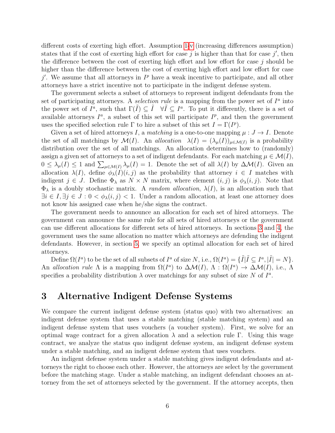different costs of exerting high effort. Assumption [1-](#page-5-0)[v](#page-5-5) (increasing differences assumption) states that if the cost of exerting high effort for case  $j$  is higher than that for case  $j'$ , then the difference between the cost of exerting high effort and low effort for case  $j$  should be higher than the difference between the cost of exerting high effort and low effort for case j'. We assume that all attorneys in  $I^p$  have a weak incentive to participate, and all other attorneys have a strict incentive not to participate in the indigent defense system.

The government selects a subset of attorneys to represent indigent defendants from the set of participating attorneys. A selection rule is a mapping from the power set of  $I^a$  into the power set of  $I^a$ , such that  $\Gamma(\tilde{I}) \subseteq \tilde{I}$   $\forall \tilde{I} \subseteq I^a$ . To put it differently, there is a set of available attorneys  $I^a$ , a subset of this set will participate  $I^p$ , and then the government uses the specified selection rule  $\Gamma$  to hire a subset of this set  $I = \Gamma(I^p)$ .

Given a set of hired attorneys I, a matching is a one-to-one mapping  $\mu: J \to I$ . Denote the set of all matchings by  $\mathcal{M}(I)$ . An allocation  $\lambda(I) = (\lambda_{\mu}(I))_{\mu \in \mathcal{M}(I)}$  is a probability distribution over the set of all matchings. An allocation determines how to (randomly) assign a given set of attorneys to a set of indigent defendants. For each matching  $\mu \in \mathcal{M}(I)$ ,  $0 \leq \lambda_{\mu}(I) \leq 1$  and  $\sum_{\mu \in \mathcal{M}(I)} \lambda_{\mu}(I) = 1$ . Denote the set of all  $\lambda(I)$  by  $\Delta \mathcal{M}(I)$ . Given an allocation  $\lambda(I)$ , define  $\phi_{\lambda}(I)(i, j)$  as the probability that attorney  $i \in I$  matches with indigent  $j \in J$ . Define  $\Phi_{\lambda}$  as  $N \times N$  matrix, where element  $(i, j)$  is  $\phi_{\lambda}(i, j)$ . Note that  $\Phi_{\lambda}$  is a doubly stochastic matrix. A *random allocation*,  $\lambda(I)$ , is an allocation such that  $\exists i \in I, \exists j \in J : 0 < \phi_{\lambda}(i, j) < 1.$  Under a random allocation, at least one attorney does not know his assigned case when he/she signs the contract.

The government needs to announce an allocation for each set of hired attorneys. The government can announce the same rule for all sets of hired attorneys or the government can use different allocations for different sets of hired attorneys. In sections [3](#page-6-0) and [4,](#page-12-0) the government uses the same allocation no matter which attorneys are defending the indigent defendants. However, in section [5,](#page-16-0) we specify an optimal allocation for each set of hired attorneys.

Define  $\Omega(I^a)$  to be the set of all subsets of  $I^a$  of size N, i.e.,  $\Omega(I^a) = {\{\tilde{I} | \tilde{I} \subseteq I^a, |\tilde{I}| = N\}}$ . An allocation rule  $\Lambda$  is a mapping from  $\Omega(I^a)$  to  $\Delta \mathcal{M}(I)$ ,  $\Lambda : \Omega(I^a) \to \Delta \mathcal{M}(I)$ , i.e.,  $\Lambda$ specifies a probability distribution  $\lambda$  over matchings for any subset of size N of  $I^a$ .

## <span id="page-6-0"></span>3 Alternative Indigent Defense Systems

We compare the current indigent defense system (status quo) with two alternatives: an indigent defense system that uses a stable matching (stable matching system) and an indigent defense system that uses vouchers (a voucher system). First, we solve for an optimal wage contract for a given allocation  $\lambda$  and a selection rule Γ. Using this wage contract, we analyze the status quo indigent defense system, an indigent defense system under a stable matching, and an indigent defense system that uses vouchers.

An indigent defense system under a stable matching gives indigent defendants and attorneys the right to choose each other. However, the attorneys are select by the government before the matching stage. Under a stable matching, an indigent defendant chooses an attorney from the set of attorneys selected by the government. If the attorney accepts, then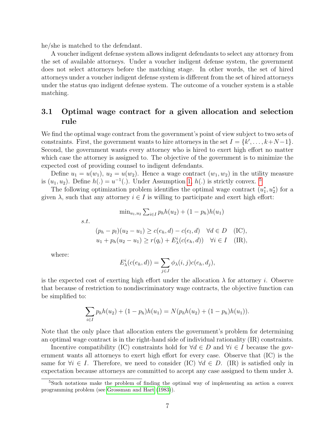he/she is matched to the defendant.

A voucher indigent defense system allows indigent defendants to select any attorney from the set of available attorneys. Under a voucher indigent defense system, the government does not select attorneys before the matching stage. In other words, the set of hired attorneys under a voucher indigent defense system is different from the set of hired attorneys under the status quo indigent defense system. The outcome of a voucher system is a stable matching.

### 3.1 Optimal wage contract for a given allocation and selection rule

We find the optimal wage contract from the government's point of view subject to two sets of constraints. First, the government wants to hire attorneys in the set  $I = \{k', \ldots, k+N-1\}$ . Second, the government wants every attorney who is hired to exert high effort no matter which case the attorney is assigned to. The objective of the government is to minimize the expected cost of providing counsel to indigent defendants.

Define  $u_1 = u(w_1)$ ,  $u_2 = u(w_2)$ . Hence a wage contract  $(w_1, w_2)$  in the utility measure is  $(u_1, u_2)$ . Define  $h(.) = u^{-1}(.)$ . Under Assumption [1,](#page-5-0)  $h(.)$  is strictly convex. <sup>[5](#page-7-0)</sup>

The following optimization problem identifies the optimal wage contract  $(u_1^*, u_2^*)$  for a given  $\lambda$ , such that any attorney  $i \in I$  is willing to participate and exert high effort:

$$
\min_{u_1, u_2} \sum_{i \in I} p_h h(u_2) + (1 - p_h) h(u_1)
$$
  
\n
$$
(p_h - p_l)(u_2 - u_1) \ge c(e_h, d) - c(e_l, d) \quad \forall d \in D \quad (\text{IC}),
$$
  
\n
$$
u_1 + p_h(u_2 - u_1) \ge r(q_i) + E^i_\lambda(c(e_h, d)) \quad \forall i \in I \quad (\text{IR}),
$$

where:

s.t.

$$
E_{\lambda}^{i}(c(e_h, d)) = \sum_{j \in J} \phi_{\lambda}(i, j)c(e_h, d_j),
$$

is the expected cost of exerting high effort under the allocation  $\lambda$  for attorney i. Observe that because of restriction to nondiscriminatory wage contracts, the objective function can be simplified to:

$$
\sum_{i\in I} p_h h(u_2) + (1 - p_h)h(u_1) = N(p_h h(u_2) + (1 - p_h)h(u_1)).
$$

Note that the only place that allocation enters the government's problem for determining an optimal wage contract is in the right-hand side of individual rationality (IR) constraints.

Incentive compatibility (IC) constraints hold for  $\forall d \in D$  and  $\forall i \in I$  because the government wants all attorneys to exert high effort for every case. Observe that (IC) is the same for  $\forall i \in I$ . Therefore, we need to consider (IC)  $\forall d \in D$ . (IR) is satisfied only in expectation because attorneys are committed to accept any case assigned to them under  $\lambda$ .

<span id="page-7-0"></span><sup>&</sup>lt;sup>5</sup>Such notations make the problem of finding the optimal way of implementing an action a convex programming problem (see [Grossman and Hart](#page-25-5) [\(1983\)](#page-25-5)).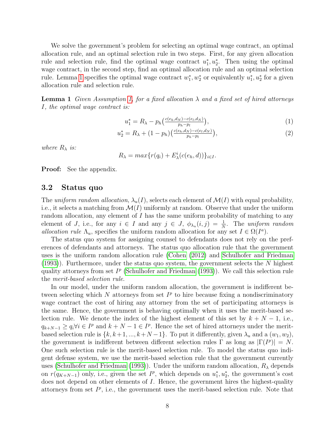We solve the government's problem for selecting an optimal wage contract, an optimal allocation rule, and an optimal selection rule in two steps. First, for any given allocation rule and selection rule, find the optimal wage contract  $u_1^*, u_2^*$ . Then using the optimal wage contract, in the second step, find an optimal allocation rule and an optimal selection rule. Lemma [1](#page-8-0) specifies the optimal wage contract  $w_1^*, w_2^*$  or equivalently  $u_1^*, u_2^*$  for a given allocation rule and selection rule.

<span id="page-8-0"></span>**Lemma 1** Given Assumption [1,](#page-5-0) for a fixed allocation  $\lambda$  and a fixed set of hired attorneys I, the optimal wage contract is:

$$
u_1^* = R_\lambda - p_h\left(\frac{c(e_h, d_N) - c(e_l, d_N)}{p_h - p_l}\right),\tag{1}
$$

$$
u_2^* = R_\lambda + (1 - p_h) \left( \frac{c(e_h, d_N) - c(e_l, d_N)}{p_h - p_l} \right),\tag{2}
$$

where  $R_{\lambda}$  is:

$$
R_{\lambda} = max\{r(q_i) + E_{\lambda}^i(c(e_h, d))\}_{i \in I}.
$$

**Proof:** See the appendix.

#### 3.2 Status quo

The uniform random allocation,  $\lambda_u(I)$ , selects each element of  $\mathcal{M}(I)$  with equal probability, i.e., it selects a matching from  $\mathcal{M}(I)$  uniformly at random. Observe that under the uniform random allocation, any element of I has the same uniform probability of matching to any element of J, i.e., for any  $i \in I$  and any  $j \in J$ ,  $\phi_{\lambda_u}(i,j) = \frac{1}{N}$ . The uniform random allocation rule  $\Lambda_u$ , specifies the uniform random allocation for any set  $I \in \Omega(I^a)$ .

The status quo system for assigning counsel to defendants does not rely on the preferences of defendants and attorneys. The status quo allocation rule that the government uses is the uniform random allocation rule [\(Cohen \(2012\)](#page-24-0) and [Schulhofer and Friedman](#page-25-1)  $(1993)$ . Furthermore, under the status quo system, the government selects the N highest quality attorneys from set  $I^p$  [\(Schulhofer and Friedman \(1993\)](#page-25-1)). We call this selection rule the merit-based selection rule.

In our model, under the uniform random allocation, the government is indifferent between selecting which  $N$  attorneys from set  $I<sup>p</sup>$  to hire because fixing a nondiscriminatory wage contract the cost of hiring any attorney from the set of participating attorneys is the same. Hence, the government is behaving optimally when it uses the merit-based selection rule. We denote the index of the highest element of this set by  $k + N - 1$ , i.e.,  $q_{k+N-1} \geq q_i \forall i \in I^p$  and  $k+N-1 \in I^p$ . Hence the set of hired attorneys under the meritbased selection rule is  $\{k, k+1, ..., k+N-1\}$ . To put it differently, given  $\lambda_u$  and a  $(w_1, w_2)$ , the government is indifferent between different selection rules  $\Gamma$  as long as  $|\Gamma(I^p)| = N$ . One such selection rule is the merit-based selection rule. To model the status quo indigent defense system, we use the merit-based selection rule that the government currently uses [\(Schulhofer and Friedman \(1993\)](#page-25-1)). Under the uniform random allocation,  $R_{\lambda}$  depends on  $r(q_{K+N-1})$  only, i.e., given the set  $I^p$ , which depends on  $u_1^*, u_2^*$ , the government's cost does not depend on other elements of I. Hence, the government hires the highest-quality attorneys from set  $I^p$ , i.e., the government uses the merit-based selection rule. Note that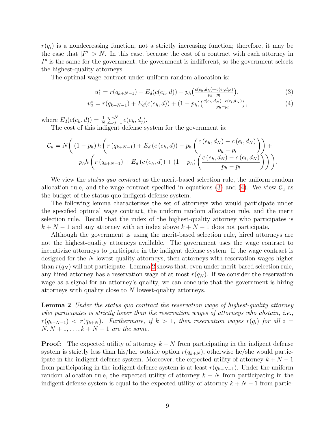$r(q_i)$  is a nondecreasing function, not a strictly increasing function; therefore, it may be the case that  $|I^p| > N$ . In this case, because the cost of a contract with each attorney in  $I<sup>p</sup>$  is the same for the government, the government is indifferent, so the government selects the highest-quality attorneys.

The optimal wage contract under uniform random allocation is:

<span id="page-9-0"></span>
$$
u_1^* = r(q_{k+N-1}) + E_d(c(e_h, d)) - p_h\left(\frac{c(e_h, d_N) - c(e_l, d_N)}{p_h - p_l}\right),\tag{3}
$$

$$
u_2^* = r(q_{k+N-1}) + E_d(c(e_h, d)) + (1 - p_h) \left( \frac{c(e_h, d_N) - c(e_l, d_N)}{p_h - p_l} \right),\tag{4}
$$

where  $E_d(c(e_h, d)) = \frac{1}{N} \sum_{j=1}^{N} c(e_h, d_j)$ .

The cost of this indigent defense system for the government is:

$$
C_u = N\left( (1 - p_h) h\left( r (q_{k+N-1}) + E_d (c (e_h, d)) - p_h \left( \frac{c (e_h, d_N) - c (e_l, d_N)}{p_h - p_l} \right) \right) + p_h h\left( r (q_{k+N-1}) + E_d (c (e_h, d)) + (1 - p_h) \left( \frac{c (e_h, d_N) - c (e_l, d_N)}{p_h - p_l} \right) \right) \right).
$$

We view the *status quo contract* as the merit-based selection rule, the uniform random allocation rule, and the wage contract specified in equations [\(3\)](#page-9-0) and [\(4\)](#page-9-0). We view  $\mathcal{C}_u$  as the budget of the status quo indigent defense system.

The following lemma characterizes the set of attorneys who would participate under the specified optimal wage contract, the uniform random allocation rule, and the merit selection rule. Recall that the index of the highest-quality attorney who participates is  $k + N - 1$  and any attorney with an index above  $k + N - 1$  does not participate.

Although the government is using the merit-based selection rule, hired attorneys are not the highest-quality attorneys available. The government uses the wage contract to incentivize attorneys to participate in the indigent defense system. If the wage contract is designed for the N lowest quality attorneys, then attorneys with reservation wages higher than  $r(q_N)$  will not participate. Lemma [2](#page-9-1) shows that, even under merit-based selection rule, any hired attorney has a reservation wage of at most  $r(q_N)$ . If we consider the reservation wage as a signal for an attorney's quality, we can conclude that the government is hiring attorneys with quality close to N lowest-quality attorneys.

<span id="page-9-1"></span>Lemma 2 Under the status quo contract the reservation wage of highest-quality attorney who participates is strictly lower than the reservation wages of attorneys who abstain, i.e.,  $r(q_{k+N-1}) \leq r(q_{k+N})$ . Furthermore, if  $k > 1$ , then reservation wages  $r(q_i)$  for all  $i =$  $N, N+1, \ldots, k+N-1$  are the same.

**Proof:** The expected utility of attorney  $k + N$  from participating in the indigent defense system is strictly less than his/her outside option  $r(q_{k+N})$ , otherwise he/she would participate in the indigent defense system. Moreover, the expected utility of attorney  $k + N - 1$ from participating in the indigent defense system is at least  $r(q_{k+N-1})$ . Under the uniform random allocation rule, the expected utility of attorney  $k + N$  from participating in the indigent defense system is equal to the expected utility of attorney  $k + N - 1$  from partic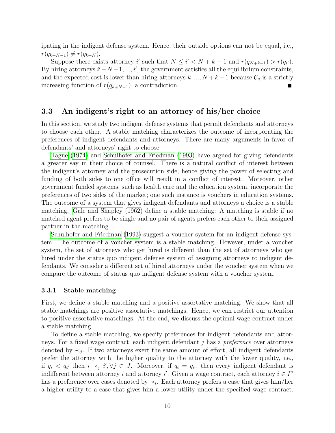ipating in the indigent defense system. Hence, their outside options can not be equal, i.e.,  $r(q_{k+N-1}) \neq r(q_{k+N}).$ 

Suppose there exists attorney i' such that  $N \leq i' < N + k - 1$  and  $r(q_{N+k-1}) > r(q_{i}).$ By hiring attorneys  $i'-N+1, ..., i'$ , the government satisfies all the equilibrium constraints, and the expected cost is lower than hiring attorneys  $k, ..., N + k - 1$  because  $\mathcal{C}_u$  is a strictly increasing function of  $r(q_{k+N-1})$ , a contradiction.

#### 3.3 An indigent's right to an attorney of his/her choice

In this section, we study two indigent defense systems that permit defendants and attorneys to choose each other. A stable matching characterizes the outcome of incorporating the preferences of indigent defendants and attorneys. There are many arguments in favor of defendants' and attorneys' right to choose.

[Tague \(1974\)](#page-25-2) and [Schulhofer and Friedman \(1993\)](#page-25-1) have argued for giving defendants a greater say in their choice of counsel. There is a natural conflict of interest between the indigent's attorney and the prosecution side, hence giving the power of selecting and funding of both sides to one office will result in a conflict of interest. Moreover, other government funded systems, such as health care and the education system, incorporate the preferences of two sides of the market; one such instance is vouchers in education systems. The outcome of a system that gives indigent defendants and attorneys a choice is a stable matching. [Gale and Shapley \(1962\)](#page-25-6) define a stable matching: A matching is stable if no matched agent prefers to be single and no pair of agents prefers each other to their assigned partner in the matching.

[Schulhofer and Friedman \(1993\)](#page-25-1) suggest a voucher system for an indigent defense system. The outcome of a voucher system is a stable matching. However, under a voucher system, the set of attorneys who get hired is different than the set of attorneys who get hired under the status quo indigent defense system of assigning attorneys to indigent defendants. We consider a different set of hired attorneys under the voucher system when we compare the outcome of status quo indigent defense system with a voucher system.

#### 3.3.1 Stable matching

First, we define a stable matching and a positive assortative matching. We show that all stable matchings are positive assortative matchings. Hence, we can restrict our attention to positive assortative matchings. At the end, we discuss the optimal wage contract under a stable matching.

To define a stable matching, we specify preferences for indigent defendants and attorneys. For a fixed wage contract, each indigent defendant j has a *preference* over attorneys denoted by  $\prec_j$ . If two attorneys exert the same amount of effort, all indigent defendants prefer the attorney with the higher quality to the attorney with the lower quality, i.e., if  $q_i < q_{i'}$  then  $i \prec_j i', \forall j \in J$ . Moreover, if  $q_i = q_{i'}$ , then every indigent defendant is indifferent between attorney i and attorney i'. Given a wage contract, each attorney  $i \in I^a$ has a preference over cases denoted by  $\prec_i$ . Each attorney prefers a case that gives him/her a higher utility to a case that gives him a lower utility under the specified wage contract.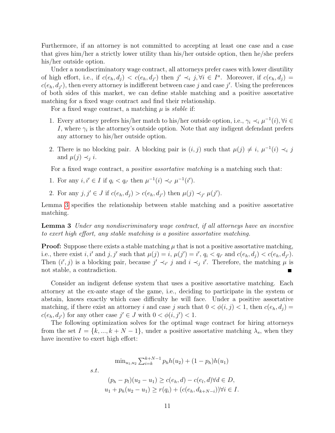Furthermore, if an attorney is not committed to accepting at least one case and a case that gives him/her a strictly lower utility than his/her outside option, then he/she prefers his/her outside option.

Under a nondiscriminatory wage contract, all attorneys prefer cases with lower disutility of high effort, i.e., if  $c(e_h, d_j) < c(e_h, d_{j'})$  then  $j' \prec_i j, \forall i \in I^a$ . Moreover, if  $c(e_h, d_j)$  $c(e_h, d_{j'})$ , then every attorney is indifferent between case j and case j'. Using the preferences of both sides of this market, we can define stable matching and a positive assortative matching for a fixed wage contract and find their relationship.

For a fixed wage contract, a matching  $\mu$  is *stable* if:

- 1. Every attorney prefers his/her match to his/her outside option, i.e.,  $\gamma_i \prec_i \mu^{-1}(i)$ ,  $\forall i \in$ I, where  $\gamma_i$  is the attorney's outside option. Note that any indigent defendant prefers any attorney to his/her outside option.
- 2. There is no blocking pair. A blocking pair is  $(i, j)$  such that  $\mu(j) \neq i$ ,  $\mu^{-1}(i) \prec_i j$ and  $\mu(j) \prec_i i$ .

For a fixed wage contract, a *positive assortative matching* is a matching such that:

- 1. For any  $i, i' \in I$  if  $q_i < q_{i'}$  then  $\mu^{-1}(i) \prec_{i'} \mu^{-1}(i')$ .
- 2. For any  $j, j' \in J$  if  $c(e_h, d_j) > c(e_h, d_{j'})$  then  $\mu(j) \prec_{j'} \mu(j')$ .

Lemma [3](#page-11-0) specifies the relationship between stable matching and a positive assortative matching.

<span id="page-11-0"></span>Lemma 3 Under any nondiscriminatory wage contract, if all attorneys have an incentive to exert high effort, any stable matching is a positive assortative matching.

**Proof:** Suppose there exists a stable matching  $\mu$  that is not a positive assortative matching, i.e., there exist i, i' and j, j' such that  $\mu(j) = i$ ,  $\mu(j') = i'$ ,  $q_i < q_{i'}$  and  $c(e_h, d_j) < c(e_h, d_{j'})$ . Then  $(i', j)$  is a blocking pair, because  $j' \prec_{i'} j$  and  $i \prec_j i'$ . Therefore, the matching  $\mu$  is not stable, a contradiction.

Consider an indigent defense system that uses a positive assortative matching. Each attorney at the ex-ante stage of the game, i.e., deciding to participate in the system or abstain, knows exactly which case difficulty he will face. Under a positive assortative matching, if there exist an attorney i and case j such that  $0 < \phi(i, j) < 1$ , then  $c(e_h, d_i)$  $c(e_h, d_{j'})$  for any other case  $j' \in J$  with  $0 < \phi(i, j') < 1$ .

The following optimization solves for the optimal wage contract for hiring attorneys from the set  $I = \{k, ..., k + N - 1\}$ , under a positive assortative matching  $\lambda_s$ , when they have incentive to exert high effort:

$$
\min_{u_1, u_2} \sum_{i=k}^{k+N-1} p_h h(u_2) + (1 - p_h)h(u_1)
$$
  
s.t.  

$$
(p_h - p_l)(u_2 - u_1) \ge c(e_h, d) - c(e_l, d) \forall d \in D,
$$
  

$$
u_1 + p_h(u_2 - u_1) \ge r(q_i) + (c(e_h, d_{k+N-i})) \forall i \in I.
$$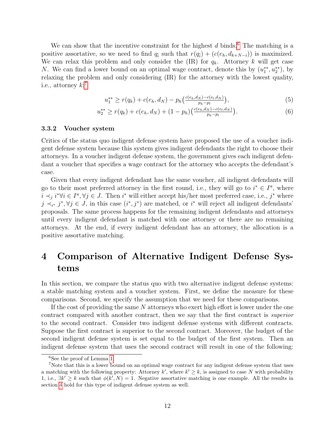We can show that the incentive constraint for the highest  $d$  binds.<sup>[6](#page-12-1)</sup> The matching is a positive assortative, so we need to find  $q_i$  such that  $r(q_i) + (c(e_h, d_{k+N-i}))$  is maximized. We can relax this problem and only consider the  $(IR)$  for  $q_k$ . Attorney k will get case N. We can find a lower bound on an optimal wage contract, denote this by  $(u_1^{**}, u_2^{**})$ , by relaxing the problem and only considering (IR) for the attorney with the lowest quality, i.e., attorney  $k:7$  $k:7$ 

<span id="page-12-3"></span>
$$
u_1^{**} \ge r(q_k) + c(e_h, d_N) - p_h\left(\frac{c(e_h, d_N) - c(e_l, d_N)}{p_h - p_l}\right),\tag{5}
$$

$$
u_2^{**} \ge r(q_k) + c(e_h, d_N) + (1 - p_h) \left( \frac{c(e_h, d_N) - c(e_l, d_N)}{p_h - p_l} \right). \tag{6}
$$

#### 3.3.2 Voucher system

Critics of the status quo indigent defense system have proposed the use of a voucher indigent defense system because this system gives indigent defendants the right to choose their attorneys. In a voucher indigent defense system, the government gives each indigent defendant a voucher that specifies a wage contract for the attorney who accepts the defendant's case.

Given that every indigent defendant has the same voucher, all indigent defendants will go to their most preferred attorney in the first round, i.e., they will go to  $i^* \in I^a$ , where  $i \prec_j i^*\forall i \in I^a, \forall j \in J$ . Then  $i^*$  will either accept his/her most preferred case, i.e.,  $j^*$  where j  $\prec_{i^*} j^*, \forall j \in J$ , in this case  $(i^*, j^*)$  are matched, or i<sup>\*</sup> will reject all indigent defendants' proposals. The same process happens for the remaining indigent defendants and attorneys until every indigent defendant is matched with one attorney or there are no remaining attorneys. At the end, if every indigent defendant has an attorney, the allocation is a positive assortative matching.

# <span id="page-12-0"></span>4 Comparison of Alternative Indigent Defense Systems

In this section, we compare the status quo with two alternative indigent defense systems: a stable matching system and a voucher system. First, we define the measure for these comparisons. Second, we specify the assumption that we need for these comparisons.

If the cost of providing the same N attorneys who exert high effort is lower under the one contract compared with another contract, then we say that the first contract is superior to the second contract. Consider two indigent defense systems with different contracts. Suppose the first contract is superior to the second contract. Moreover, the budget of the second indigent defense system is set equal to the budget of the first system. Then an indigent defense system that uses the second contract will result in one of the following:

<span id="page-12-2"></span><span id="page-12-1"></span><sup>6</sup>See the proof of Lemma [1.](#page-8-0)

<sup>7</sup>Note that this is a lower bound on an optimal wage contract for any indigent defense system that uses a matching with the following property: Attorney k', where  $k' \geq k$ , is assigned to case N with probability 1, i.e.,  $\exists k' \geq k$  such that  $\phi(k', N) = 1$ . Negative assortative matching is one example. All the results in section [4](#page-12-0) hold for this type of indigent defense system as well.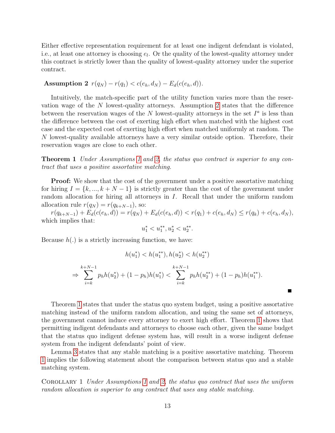Either effective representation requirement for at least one indigent defendant is violated, i.e., at least one attorney is choosing  $e_l$ . Or the quality of the lowest-quality attorney under this contract is strictly lower than the quality of lowest-quality attorney under the superior contract.

### <span id="page-13-0"></span>Assumption 2  $r(q_N) - r(q_1) < c(e_h, d_N) - E_d(c(e_h, d)).$

Intuitively, the match-specific part of the utility function varies more than the reservation wage of the N lowest-quality attorneys. Assumption [2](#page-13-0) states that the difference between the reservation wages of the  $N$  lowest-quality attorneys in the set  $I^a$  is less than the difference between the cost of exerting high effort when matched with the highest cost case and the expected cost of exerting high effort when matched uniformly at random. The N lowest-quality available attorneys have a very similar outside option. Therefore, their reservation wages are close to each other.

<span id="page-13-1"></span>Theorem 1 Under Assumptions [1](#page-5-0) and [2,](#page-13-0) the status quo contract is superior to any contract that uses a positive assortative matching.

**Proof:** We show that the cost of the government under a positive assortative matching for hiring  $I = \{k, ..., k + N - 1\}$  is strictly greater than the cost of the government under random allocation for hiring all attorneys in I. Recall that under the uniform random allocation rule  $r(q_N) = r(q_{k+N-1})$ , so:

 $r(q_{k+N-1}) + \overline{E_d}(c(e_h, d)) = r(q_N) + E_d(c(e_h, d)) < r(q_1) + c(e_h, d_N) \leq r(q_k) + c(e_h, d_N),$ which implies that:

$$
u_1^* < u_1^{**}, u_2^* < u_2^{**}.
$$

Because  $h(.)$  is a strictly increasing function, we have:

$$
h(u_1^*) < h(u_1^{**}), h(u_2^*) < h(u_2^{**})
$$

$$
\Rightarrow \sum_{i=k}^{k+N-1} p_h h(u_2^*) + (1-p_h)h(u_1^*) < \sum_{i=k}^{k+N-1} p_h h(u_2^{**}) + (1-p_h)h(u_1^{**}).
$$

П

Theorem [1](#page-13-1) states that under the status quo system budget, using a positive assortative matching instead of the uniform random allocation, and using the same set of attorneys, the government cannot induce every attorney to exert high effort. Theorem [1](#page-13-1) shows that permitting indigent defendants and attorneys to choose each other, given the same budget that the status quo indigent defense system has, will result in a worse indigent defense system from the indigent defendants' point of view.

Lemma [3](#page-11-0) states that any stable matching is a positive assortative matching. Theorem [1](#page-13-1) implies the following statement about the comparison between status quo and a stable matching system.

<span id="page-13-2"></span>Corollary 1 Under Assumptions [1](#page-5-0) and [2,](#page-13-0) the status quo contract that uses the uniform random allocation is superior to any contract that uses any stable matching.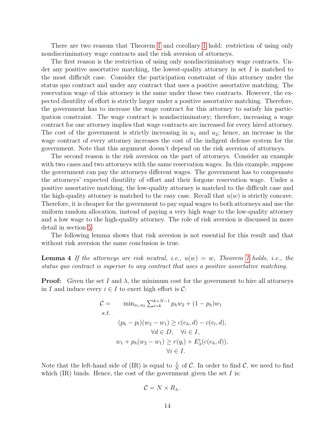There are two reasons that Theorem [1](#page-13-1) and corollary [1](#page-13-2) hold: restriction of using only nondiscriminatory wage contracts and the risk aversion of attorneys.

The first reason is the restriction of using only nondiscriminatory wage contracts. Under any positive assortative matching, the lowest-quality attorney in set  $I$  is matched to the most difficult case. Consider the participation constraint of this attorney under the status quo contract and under any contract that uses a positive assortative matching. The reservation wage of this attorney is the same under these two contracts. However, the expected disutility of effort is strictly larger under a positive assortative matching. Therefore, the government has to increase the wage contract for this attorney to satisfy his participation constraint. The wage contract is nondiscriminatory; therefore, increasing a wage contract for one attorney implies that wage contracts are increased for every hired attorney. The cost of the government is strictly increasing in  $u_1$  and  $u_2$ ; hence, an increase in the wage contract of every attorney increases the cost of the indigent defense system for the government. Note that this argument doesn't depend on the risk aversion of attorneys.

The second reason is the risk aversion on the part of attorneys. Consider an example with two cases and two attorneys with the same reservation wages. In this example, suppose the government can pay the attorneys different wages. The government has to compensate the attorneys' expected disutility of effort and their forgone reservation wage. Under a positive assortative matching, the low-quality attorney is matched to the difficult case and the high-quality attorney is matched to the easy case. Recall that  $u(w)$  is strictly concave. Therefore, it is cheaper for the government to pay equal wages to both attorneys and use the uniform random allocation, instead of paying a very high wage to the low-quality attorney and a low wage to the high-quality attorney. The role of risk aversion is discussed in more detail in section [5.](#page-16-0)

The following lemma shows that risk aversion is not essential for this result and that without risk aversion the same conclusion is true.

**Lemma 4** If the attorneys are risk neutral, i.e.,  $u(w) = w$ , Theorem [1](#page-13-1) holds, i.e., the status quo contract is superior to any contract that uses a positive assortative matching.

**Proof:** Given the set I and  $\lambda$ , the minimum cost for the government to hire all attorneys in I and induce every  $i \in I$  to exert high effort is C:

$$
C = \min_{u_1, u_2} \sum_{i=k}^{k+N-1} p_h w_2 + (1 - p_h) w_1
$$
  
s.t.  

$$
(p_h - p_l)(w_2 - w_1) \ge c(e_h, d) - c(e_l, d),
$$
  

$$
\forall d \in D, \quad \forall i \in I,
$$
  

$$
w_1 + p_h(w_2 - w_1) \ge r(q_i) + E_{\lambda}^i(c(e_h, d)),
$$
  

$$
\forall i \in I.
$$

Note that the left-hand side of (IR) is equal to  $\frac{1}{N}$  of C. In order to find C, we need to find which  $(IR)$  binds. Hence, the cost of the government given the set I is:

$$
\mathcal{C}=N\times R_{\lambda}.
$$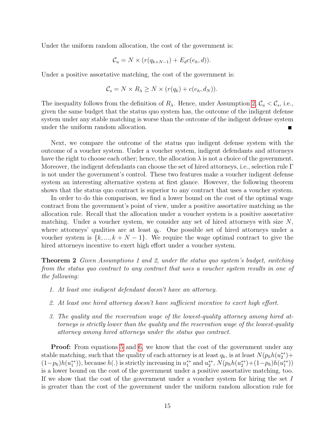Under the uniform random allocation, the cost of the government is:

$$
\mathcal{C}_u = N \times (r(q_{k+N-1}) + E_d c(e_h, d)).
$$

Under a positive assortative matching, the cost of the government is:

$$
C_s = N \times R_{\lambda} \geq N \times (r(q_k) + c(e_h, d_N)).
$$

The inequality follows from the definition of  $R_{\lambda}$ . Hence, under Assumption [2,](#page-13-0)  $\mathcal{C}_u < \mathcal{C}_s$ , i.e., given the same budget that the status quo system has, the outcome of the indigent defense system under any stable matching is worse than the outcome of the indigent defense system under the uniform random allocation. П

Next, we compare the outcome of the status quo indigent defense system with the outcome of a voucher system. Under a voucher system, indigent defendants and attorneys have the right to choose each other; hence, the allocation  $\lambda$  is not a choice of the government. Moreover, the indigent defendants can choose the set of hired attorneys, i.e., selection rule  $\Gamma$ is not under the government's control. These two features make a voucher indigent defense system an interesting alternative system at first glance. However, the following theorem shows that the status quo contract is superior to any contract that uses a voucher system.

In order to do this comparison, we find a lower bound on the cost of the optimal wage contract from the government's point of view, under a positive assortative matching as the allocation rule. Recall that the allocation under a voucher system is a positive assortative matching. Under a voucher system, we consider any set of hired attorneys with size  $N$ , where attorneys' qualities are at least  $q_k$ . One possible set of hired attorneys under a voucher system is  $\{k, ..., k + N - 1\}$ . We require the wage optimal contract to give the hired attorneys incentive to exert high effort under a voucher system.

Theorem 2 Given Assumptions 1 and 2, under the status quo system's budget, switching from the status quo contract to any contract that uses a voucher system results in one of the following:

- 1. At least one indigent defendant doesn't have an attorney.
- 2. At least one hired attorney doesn't have sufficient incentive to exert high effort.
- 3. The quality and the reservation wage of the lowest-quality attorney among hired attorneys is strictly lower than the quality and the reservation wage of the lowest-quality attorney among hired attorneys under the status quo contract.

**Proof:** From equations [5](#page-12-3) and [6,](#page-12-3) we know that the cost of the government under any stable matching, such that the quality of each attorney is at least  $q_k$ , is at least  $N(p_h h(u_2^{**}) +$  $(1-p_h)h(u_1^{**})$ , because  $h(.)$  is strictly increasing in  $u_1^{**}$  and  $u_2^{**}$ ,  $N(p_hh(u_2^{**})+(1-p_h)h(u_1^{**}))$ is a lower bound on the cost of the government under a positive assortative matching, too. If we show that the cost of the government under a voucher system for hiring the set I is greater than the cost of the government under the uniform random allocation rule for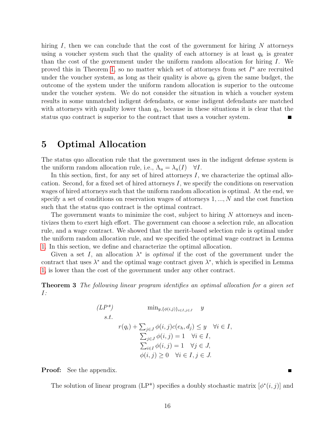hiring I, then we can conclude that the cost of the government for hiring  $N$  attorneys using a voucher system such that the quality of each attorney is at least  $q_k$  is greater than the cost of the government under the uniform random allocation for hiring I. We proved this in Theorem [1,](#page-13-1) so no matter which set of attorneys from set  $I^a$  are recruited under the voucher system, as long as their quality is above  $q_k$  given the same budget, the outcome of the system under the uniform random allocation is superior to the outcome under the voucher system. We do not consider the situation in which a voucher system results in some unmatched indigent defendants, or some indigent defendants are matched with attorneys with quality lower than  $q_k$ , because in these situations it is clear that the status quo contract is superior to the contract that uses a voucher system.

## <span id="page-16-0"></span>5 Optimal Allocation

The status quo allocation rule that the government uses in the indigent defense system is the uniform random allocation rule, i.e.,  $\Lambda_u = \lambda_u(I) \quad \forall I$ .

In this section, first, for any set of hired attorneys  $I$ , we characterize the optimal allocation. Second, for a fixed set of hired attorneys I, we specify the conditions on reservation wages of hired attorneys such that the uniform random allocation is optimal. At the end, we specify a set of conditions on reservation wages of attorneys  $1, ..., N$  and the cost function such that the status quo contract is the optimal contract.

The government wants to minimize the cost, subject to hiring  $N$  attorneys and incentivizes them to exert high effort. The government can choose a selection rule, an allocation rule, and a wage contract. We showed that the merit-based selection rule is optimal under the uniform random allocation rule, and we specified the optimal wage contract in Lemma [1.](#page-8-0) In this section, we define and characterize the optimal allocation.

Given a set I, an allocation  $\lambda^*$  is *optimal* if the cost of the government under the contract that uses  $\lambda^*$  and the optimal wage contract given  $\lambda^*$ , which is specified in Lemma [1,](#page-8-0) is lower than the cost of the government under any other contract.

<span id="page-16-1"></span>Theorem 3 The following linear program identifies an optimal allocation for a given set I:

$$
(LP^*) \qquad \min_{y, \{\phi(i,j)\}_{i \in I, j \in J}} y
$$
  
s.t.  

$$
r(q_i) + \sum_{j \in J} \phi(i, j) c(e_h, d_j) \leq y \quad \forall i \in I,
$$
  

$$
\sum_{j \in J} \phi(i, j) = 1 \quad \forall i \in I,
$$
  

$$
\sum_{i \in I} \phi(i, j) = 1 \quad \forall j \in J,
$$
  

$$
\phi(i, j) \geq 0 \quad \forall i \in I, j \in J.
$$

**Proof:** See the appendix.

The solution of linear program (LP<sup>\*</sup>) specifies a doubly stochastic matrix  $[\phi^*(i, j)]$  and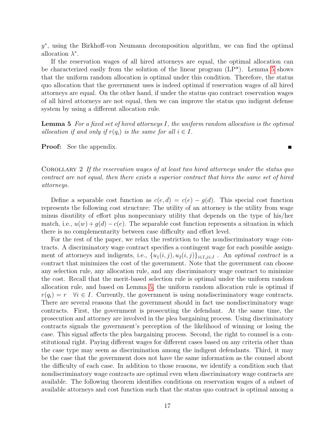y ∗ , using the Birkhoff-von Neumann decomposition algorithm, we can find the optimal allocation  $\lambda^*$ .

If the reservation wages of all hired attorneys are equal, the optimal allocation can be characterized easily from the solution of the linear program  $(LP^*)$ . Lemma [5](#page-17-0) shows that the uniform random allocation is optimal under this condition. Therefore, the status quo allocation that the government uses is indeed optimal if reservation wages of all hired attorneys are equal. On the other hand, if under the status quo contract reservation wages of all hired attorneys are not equal, then we can improve the status quo indigent defense system by using a different allocation rule.

<span id="page-17-0"></span>**Lemma 5** For a fixed set of hired attorneys I, the uniform random allocation is the optimal allocation if and only if  $r(q_i)$  is the same for all  $i \in I$ .

Г

**Proof:** See the appendix.

COROLLARY 2 If the reservation wages of at least two hired attorneys under the status quo contract are not equal, then there exists a superior contract that hires the same set of hired attorneys.

Define a separable cost function as  $c(e, d) = c(e) - g(d)$ . This special cost function represents the following cost structure: The utility of an attorney is the utility from wage minus disutility of effort plus nonpecuniary utility that depends on the type of his/her match, i.e.,  $u(w) + g(d) - c(e)$ . The separable cost function represents a situation in which there is no complementarity between case difficulty and effort level.

For the rest of the paper, we relax the restriction to the nondiscriminatory wage contracts. A discriminatory wage contract specifies a contingent wage for each possible assignment of attorneys and indigents, i.e.,  $\{u_1(i,j), u_2(i,j)\}_{i\in I, j\in J}$ . An *optimal contract* is a contract that minimizes the cost of the government. Note that the government can choose any selection rule, any allocation rule, and any discriminatory wage contract to minimize the cost. Recall that the merit-based selection rule is optimal under the uniform random allocation rule, and based on Lemma [5,](#page-17-0) the uniform random allocation rule is optimal if  $r(q_i) = r \quad \forall i \in I$ . Currently, the government is using nondiscriminatory wage contracts. There are several reasons that the government should in fact use nondiscriminatory wage contracts. First, the government is prosecuting the defendant. At the same time, the prosecution and attorney are involved in the plea bargaining process. Using discriminatory contracts signals the government's perception of the likelihood of winning or losing the case. This signal affects the plea bargaining process. Second, the right to counsel is a constitutional right. Paying different wages for different cases based on any criteria other than the case type may seem as discrimination among the indigent defendants. Third, it may be the case that the government does not have the same information as the counsel about the difficulty of each case. In addition to those reasons, we identify a condition such that nondiscriminatory wage contracts are optimal even when discriminatory wage contracts are available. The following theorem identifies conditions on reservation wages of a subset of available attorneys and cost function such that the status quo contract is optimal among a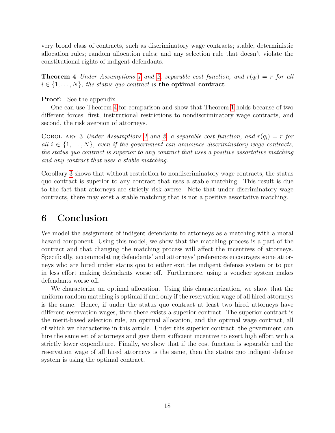very broad class of contracts, such as discriminatory wage contracts; stable, deterministic allocation rules; random allocation rules; and any selection rule that doesn't violate the constitutional rights of indigent defendants.

<span id="page-18-0"></span>**Theorem 4** Under Assumptions [1](#page-5-0) and [2,](#page-13-0) separable cost function, and  $r(q_i) = r$  for all  $i \in \{1, \ldots, N\}$ , the status quo contract is the optimal contract.

#### **Proof:** See the appendix.

<span id="page-18-1"></span>One can use Theorem [4](#page-18-0) for comparison and show that Theorem [1](#page-13-1) holds because of two different forces; first, institutional restrictions to nondiscriminatory wage contracts, and second, the risk aversion of attorneys.

COROLLARY 3 Under Assumptions [1](#page-5-0) and [2,](#page-13-0) a separable cost function, and  $r(q_i) = r$  for all  $i \in \{1, \ldots, N\}$ , even if the government can announce discriminatory wage contracts, the status quo contract is superior to any contract that uses a positive assortative matching and any contract that uses a stable matching.

Corollary [3](#page-18-1) shows that without restriction to nondiscriminatory wage contracts, the status quo contract is superior to any contract that uses a stable matching. This result is due to the fact that attorneys are strictly risk averse. Note that under discriminatory wage contracts, there may exist a stable matching that is not a positive assortative matching.

# 6 Conclusion

We model the assignment of indigent defendants to attorneys as a matching with a moral hazard component. Using this model, we show that the matching process is a part of the contract and that changing the matching process will affect the incentives of attorneys. Specifically, accommodating defendants' and attorneys' preferences encourages some attorneys who are hired under status quo to either exit the indigent defense system or to put in less effort making defendants worse off. Furthermore, using a voucher system makes defendants worse off.

We characterize an optimal allocation. Using this characterization, we show that the uniform random matching is optimal if and only if the reservation wage of all hired attorneys is the same. Hence, if under the status quo contract at least two hired attorneys have different reservation wages, then there exists a superior contract. The superior contract is the merit-based selection rule, an optimal allocation, and the optimal wage contract, all of which we characterize in this article. Under this superior contract, the government can hire the same set of attorneys and give them sufficient incentive to exert high effort with a strictly lower expenditure. Finally, we show that if the cost function is separable and the reservation wage of all hired attorneys is the same, then the status quo indigent defense system is using the optimal contract.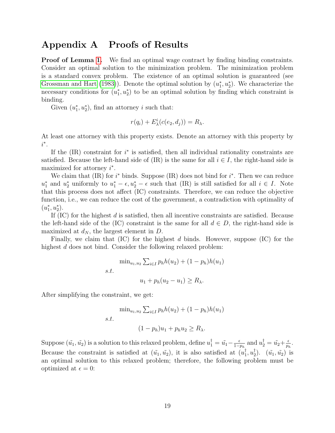### Appendix A Proofs of Results

**Proof of Lemma [1.](#page-8-0)** We find an optimal wage contract by finding binding constraints. Consider an optimal solution to the minimization problem. The minimization problem is a standard convex problem. The existence of an optimal solution is guaranteed (see [Grossman and Hart \(1983\)](#page-25-5)). Denote the optimal solution by  $(u_1^*, u_2^*)$ . We characterize the necessary conditions for  $(u_1^*, u_2^*)$  to be an optimal solution by finding which constraint is binding.

Given  $(u_1^*, u_2^*)$ , find an attorney *i* such that:

$$
r(q_i) + E_{\lambda}^i(c(e_2, d_j)) = R_{\lambda}.
$$

At least one attorney with this property exists. Denote an attorney with this property by i ∗ .

If the  $(IR)$  constraint for  $i^*$  is satisfied, then all individual rationality constraints are satisfied. Because the left-hand side of  $(IR)$  is the same for all  $i \in I$ , the right-hand side is maximized for attorney  $i^*$ .

We claim that  $(IR)$  for  $i^*$  binds. Suppose  $(IR)$  does not bind for  $i^*$ . Then we can reduce  $u_1^*$  and  $u_2^*$  uniformly to  $u_1^* - \epsilon, u_2^* - \epsilon$  such that (IR) is still satisfied for all  $i \in I$ . Note that this process does not affect (IC) constraints. Therefore, we can reduce the objective function, i.e., we can reduce the cost of the government, a contradiction with optimality of  $(u_1^*, u_2^*).$ 

If  $(IC)$  for the highest d is satisfied, then all incentive constraints are satisfied. Because the left-hand side of the (IC) constraint is the same for all  $d \in D$ , the right-hand side is maximized at  $d_N$ , the largest element in D.

Finally, we claim that  $(IC)$  for the highest d binds. However, suppose  $(IC)$  for the highest d does not bind. Consider the following relaxed problem:

$$
\min_{u_1, u_2} \sum_{i \in I} p_h h(u_2) + (1 - p_h) h(u_1)
$$
  
s.t.  

$$
u_1 + p_h(u_2 - u_1) \ge R_\lambda.
$$

After simplifying the constraint, we get:

$$
\min_{u_1, u_2} \sum_{i \in I} p_h h(u_2) + (1 - p_h) h(u_1)
$$
  
s.t.  

$$
(1 - p_h)u_1 + p_h u_2 \ge R_\lambda.
$$

Suppose  $(\tilde{u_1}, \tilde{u_2})$  is a solution to this relaxed problem, define  $u_1^{\dagger} = \tilde{u_1} - \frac{\epsilon}{1-\epsilon}$  $\frac{\epsilon}{1-p_h}$  and  $u_2^{\dagger} = \tilde{u_2} + \frac{\epsilon}{p_h}$  $\frac{\epsilon}{p_h}$ . Because the constraint is satisfied at  $(\tilde{u_1}, \tilde{u_2})$ , it is also satisfied at  $(u_1^{\dagger})$  $_{1}^{\dagger},u_{2}^{\dagger}$  $\begin{pmatrix} 1 \\ 2 \end{pmatrix}$ .  $(\tilde{u_1}, \tilde{u_2})$  is an optimal solution to this relaxed problem; therefore, the following problem must be optimized at  $\epsilon = 0$ :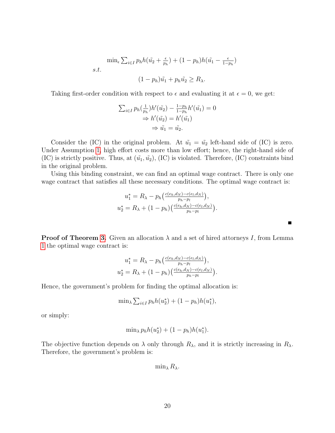$$
\min_{\epsilon} \sum_{i \in I} p_h h(\tilde{u}_2 + \frac{\epsilon}{p_h}) + (1 - p_h)h(\tilde{u}_1 - \frac{\epsilon}{1 - p_h})
$$
  
s.t.  

$$
(1 - p_h)\tilde{u}_1 + p_h\tilde{u}_2 \ge R_\lambda.
$$

Taking first-order condition with respect to  $\epsilon$  and evaluating it at  $\epsilon = 0$ , we get:

$$
\sum_{i \in I} p_h(\frac{1}{p_h}) h'(\tilde{u}_2) - \frac{1 - p_h}{1 - p_h} h'(\tilde{u}_1) = 0
$$
  
\n
$$
\Rightarrow h'(\tilde{u}_2) = h'(\tilde{u}_1)
$$
  
\n
$$
\Rightarrow \tilde{u}_1 = \tilde{u}_2.
$$

Consider the (IC) in the original problem. At  $\tilde{u}_1 = \tilde{u}_2$  left-hand side of (IC) is zero. Under Assumption [1,](#page-5-0) high effort costs more than low effort; hence, the right-hand side of (IC) is strictly positive. Thus, at  $(\tilde{u_1}, \tilde{u_2})$ , (IC) is violated. Therefore, (IC) constraints bind in the original problem.

Using this binding constraint, we can find an optimal wage contract. There is only one wage contract that satisfies all these necessary conditions. The optimal wage contract is:

$$
u_1^* = R_{\lambda} - p_h\left(\frac{c(e_h, d_N) - c(e_l, d_N)}{p_h - p_l}\right),
$$
  

$$
u_2^* = R_{\lambda} + (1 - p_h)\left(\frac{c(e_h, d_N) - c(e_l, d_N)}{p_h - p_l}\right).
$$

Е

**Proof of Theorem [3.](#page-16-1)** Given an allocation  $\lambda$  and a set of hired attorneys I, from Lemma [1](#page-8-0) the optimal wage contract is:

$$
u_1^* = R_{\lambda} - p_h\left(\frac{c(e_h, d_N) - c(e_l, d_N)}{p_h - p_l}\right),
$$
  

$$
u_2^* = R_{\lambda} + (1 - p_h)\left(\frac{c(e_h, d_N) - c(e_l, d_N)}{p_h - p_l}\right).
$$

Hence, the government's problem for finding the optimal allocation is:

$$
\min_{\lambda} \sum_{i \in I} p_h h(u_2^*) + (1 - p_h) h(u_1^*),
$$

or simply:

$$
\min_{\lambda} p_h h(u_2^*) + (1 - p_h) h(u_1^*).
$$

The objective function depends on  $\lambda$  only through  $R_{\lambda}$ , and it is strictly increasing in  $R_{\lambda}$ . Therefore, the government's problem is:

$$
\min_{\lambda} R_{\lambda}.
$$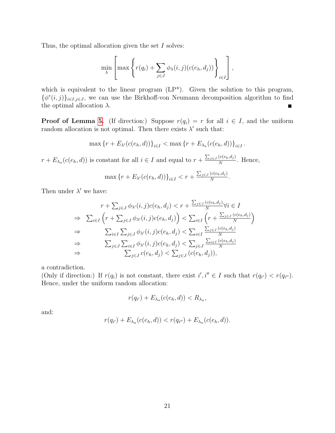Thus, the optimal allocation given the set  $I$  solves:

$$
\min_{\lambda} \left[ \max \left\{ r(q_i) + \sum_{j \in J} \phi_{\lambda}(i, j) (c(e_h, d_j)) \right\}_{i \in I} \right],
$$

which is equivalent to the linear program  $(LP^*)$ . Given the solution to this program,  $\{\phi^*(i,j)\}_{i\in I,j\in J}$ , we can use the Birkhoff-von Neumann decomposition algorithm to find the optimal allocation  $\lambda$ .  $\blacksquare$ 

**Proof of Lemma [5.](#page-17-0)** (If direction:) Suppose  $r(q_i) = r$  for all  $i \in I$ , and the uniform random allocation is not optimal. Then there exists  $\lambda'$  such that:

$$
\max \left\{ r + E_{\lambda'}(c(e_h, d)) \right\}_{i \in I} < \max \left\{ r + E_{\lambda_u}(c(e_h, d)) \right\}_{i \in I}
$$

.

 $r + E_{\lambda_u}(c(e_h, d))$  is constant for all  $i \in I$  and equal to  $r + \frac{\sum_{j \in J} (c(e_h, d_j))}{N}$  $\frac{(c(e_h, u_j))}{N}$ . Hence,

$$
\max\left\{r+E_{\lambda'}(c(e_h,d))\right\}_{i\in I} < r+\frac{\sum_{j\in J} (c(e_h,d_j))}{N}.
$$

Then under  $\lambda'$  we have:

$$
r + \sum_{j \in J} \phi_{\lambda'}(i, j)c(e_h, d_j) < r + \frac{\sum_{j \in J} (c(e_h, d_j))}{N} \forall i \in I
$$
\n
$$
\Rightarrow \sum_{i \in I} \left( r + \sum_{j \in J} \phi_{\lambda'}(i, j)c(e_h, d_j) \right) < \sum_{i \in I} \left( r + \frac{\sum_{j \in J} (c(e_h, d_j))}{N} \right)
$$
\n
$$
\Rightarrow \sum_{i \in I} \sum_{j \in J} \phi_{\lambda'}(i, j)c(e_h, d_j) < \sum_{i \in I} \frac{\sum_{j \in J} (c(e_h, d_j))}{N}
$$
\n
$$
\Rightarrow \sum_{j \in J} \sum_{i \in I} \phi_{\lambda'}(i, j)c(e_h, d_j) < \sum_{j \in J} \frac{\sum_{i \in I} (c(e_h, d_j))}{N}
$$
\n
$$
\Rightarrow \sum_{j \in J} c(e_h, d_j) < \sum_{j \in J} (c(e_h, d_j)),
$$

a contradiction.

(Only if direction:) If  $r(q_i)$  is not constant, there exist  $i', i'' \in I$  such that  $r(q_{i'}) < r(q_{i''})$ . Hence, under the uniform random allocation:

$$
r(q_{i'}) + E_{\lambda_u}(c(e_h, d)) < R_{\lambda_u},
$$

and:

$$
r(q_{i'}) + E_{\lambda_u}(c(e_h, d)) < r(q_{i''}) + E_{\lambda_u}(c(e_h, d)).
$$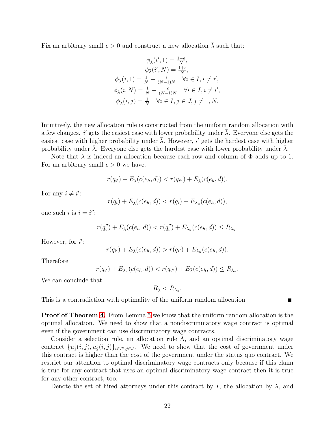Fix an arbitrary small  $\epsilon > 0$  and construct a new allocation  $\bar{\lambda}$  such that:

$$
\phi_{\bar{\lambda}}(i', 1) = \frac{1-\epsilon}{N},
$$

$$
\phi_{\bar{\lambda}}(i', N) = \frac{1+\epsilon}{N},
$$

$$
\phi_{\bar{\lambda}}(i, 1) = \frac{1}{N} + \frac{\epsilon}{(N-1)N} \quad \forall i \in I, i \neq i',
$$

$$
\phi_{\bar{\lambda}}(i, N) = \frac{1}{N} - \frac{\epsilon}{(N-1)N} \quad \forall i \in I, i \neq i',
$$

$$
\phi_{\bar{\lambda}}(i, j) = \frac{1}{N} \quad \forall i \in I, j \in J, j \neq 1, N.
$$

Intuitively, the new allocation rule is constructed from the uniform random allocation with a few changes. i' gets the easiest case with lower probability under  $\bar{\lambda}$ . Everyone else gets the easiest case with higher probability under  $\bar{\lambda}$ . However, i' gets the hardest case with higher probability under  $\lambda$ . Everyone else gets the hardest case with lower probability under  $\lambda$ .

Note that  $\lambda$  is indeed an allocation because each row and column of  $\Phi$  adds up to 1. For an arbitrary small  $\epsilon > 0$  we have:

$$
r(q_{i'})+E_{\bar{\lambda}}(c(e_h,d))< r(q_{i''})+E_{\bar{\lambda}}(c(e_h,d)).
$$

For any  $i \neq i'$ :

$$
r(q_i) + E_{\bar{\lambda}}(c(e_h, d)) < r(q_i) + E_{\lambda_u}(c(e_h, d)),
$$

one such *i* is  $i = i''$ :

$$
r(q''_i) + E_{\bar{\lambda}}(c(e_h, d)) < r(q''_i) + E_{\lambda_u}(c(e_h, d)) \le R_{\lambda_u}.
$$

However, for  $i'$ :

$$
r(q_{i'}) + E_{\bar{\lambda}}(c(e_h, d)) > r(q_{i'}) + E_{\lambda_u}(c(e_h, d)).
$$

Therefore:

$$
r(q_{i'}) + E_{\lambda_u}(c(e_h, d)) < r(q_{i''}) + E_{\bar{\lambda}}(c(e_h, d)) \le R_{\lambda_u}.
$$

We can conclude that

$$
R_{\bar{\lambda}} < R_{\lambda_u}.
$$

This is a contradiction with optimality of the uniform random allocation.

Proof of Theorem [4.](#page-18-0) From Lemma [5](#page-17-0) we know that the uniform random allocation is the optimal allocation. We need to show that a nondiscriminatory wage contract is optimal even if the government can use discriminatory wage contracts.

Consider a selection rule, an allocation rule  $\Lambda$ , and an optimal discriminatory wage contract  $\{u_1^{\dagger}$  $_{1}^{\dagger}(i,j),u_{2}^{\dagger}% (i),u_{1}^{\dagger}(j),u_{2}^{\dagger}(j),u_{1}^{\dagger}(j),u_{2}^{\dagger}(j),u_{1}^{\dagger}(j),u_{2}^{\dagger}(j),$  $\{z_i^{\dagger}(i,j)\}_{i\in I^a,j\in J}$ . We need to show that the cost of government under this contract is higher than the cost of the government under the status quo contract. We restrict our attention to optimal discriminatory wage contracts only because if this claim is true for any contract that uses an optimal discriminatory wage contract then it is true for any other contract, too.

Denote the set of hired attorneys under this contract by I, the allocation by  $\lambda$ , and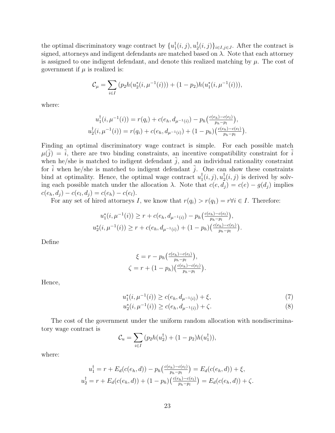the optimal discriminatory wage contract by  $\{u_1^{\dagger}$  $_{1}^{\dagger}(i,j),u_{2}^{\dagger}% (i),u_{1}^{\dagger}(j),u_{2}^{\dagger}(j),u_{1}^{\dagger}(j),u_{2}^{\dagger}(j),u_{1}^{\dagger}(j),u_{2}^{\dagger}(j),$  $\{z_i(i,j)\}_{i\in I,j\in J}$ . After the contract is signed, attorneys and indigent defendants are matched based on  $\lambda$ . Note that each attorney is assigned to one indigent defendant, and denote this realized matching by  $\mu$ . The cost of government if  $\mu$  is realized is:

$$
\mathcal{C}_{\mu} = \sum_{i \in I} (p_2 h(u_2^*(i, \mu^{-1}(i))) + (1 - p_2) h(u_1^*(i, \mu^{-1}(i))),
$$

where:

$$
u_1^{\dagger}(i, \mu^{-1}(i)) = r(q_i) + c(e_h, d_{\mu^{-1}(i)}) - p_h\left(\frac{c(e_h) - c(e_l)}{p_h - p_l}\right),
$$
  

$$
u_2^{\dagger}(i, \mu^{-1}(i)) = r(q_i) + c(e_h, d_{\mu^{-1}(i)}) + (1 - p_h)\left(\frac{c(e_h) - c(e_l)}{p_h - p_l}\right).
$$

Finding an optimal discriminatory wage contract is simple. For each possible match  $\mu(\tilde{j}) = \tilde{i}$ , there are two binding constraints, an incentive compatibility constraint for  $\tilde{i}$ when he/she is matched to indigent defendant  $\tilde{j}$ , and an individual rationality constraint for  $\tilde{i}$  when he/she is matched to indigent defendant  $\tilde{j}$ . One can show these constraints bind at optimality. Hence, the optimal wage contract  $u_1^{\dagger}$  $\frac{1}{1}(i,j),u_2^{\dagger}$  $_{2}^{\dagger}(i, j)$  is derived by solving each possible match under the allocation  $\lambda$ . Note that  $c(e, d_i) = c(e) - g(d_i)$  implies  $c(e_h, d_j) - c(e_l, d_j) = c(e_h) - c(e_l).$ 

For any set of hired attorneys I, we know that  $r(q_i) > r(q_1) = r \forall i \in I$ . Therefore:

$$
u_1^*(i, \mu^{-1}(i)) \ge r + c(e_h, d_{\mu^{-1}(i)}) - p_h\left(\frac{c(e_h) - c(e_l)}{p_h - p_l}\right),
$$
  

$$
u_2^*(i, \mu^{-1}(i)) \ge r + c(e_h, d_{\mu^{-1}(i)}) + (1 - p_h)\left(\frac{c(e_h) - c(e_l)}{p_h - p_l}\right).
$$

Define

$$
\xi = r - p_h \left( \frac{c(e_h) - c(e_l)}{p_h - p_l} \right),
$$
  

$$
\zeta = r + (1 - p_h) \left( \frac{c(e_h) - c(e_l)}{p_h - p_l} \right).
$$

Hence,

<span id="page-23-0"></span>
$$
u_1^*(i, \mu^{-1}(i)) \ge c(e_h, d_{\mu^{-1}(i)}) + \xi,
$$
\n<sup>(7)</sup>

$$
u_2^*(i, \mu^{-1}(i)) \ge c(e_h, d_{\mu^{-1}(i)}) + \zeta.
$$
\n(8)

The cost of the government under the uniform random allocation with nondiscriminatory wage contract is

$$
C_u = \sum_{i \in I} (p_2 h(u_2^{\dagger}) + (1 - p_2) h(u_1^{\dagger})),
$$

where:

$$
u_1^{\dagger} = r + E_d(c(e_h, d)) - p_h\left(\frac{c(e_h) - c(e_l)}{p_h - p_l}\right) = E_d(c(e_h, d)) + \xi,
$$
  

$$
u_2^{\dagger} = r + E_d(c(e_h, d)) + (1 - p_h)\left(\frac{c(e_h) - c(e_l)}{p_h - p_l}\right) = E_d(c(e_h, d)) + \zeta.
$$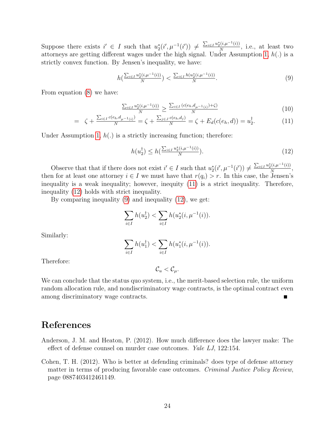Suppose there exists  $i' \in I$  such that  $u_2^*(i', \mu^{-1}(i')) \neq \frac{\sum_{i \in I} u_2^*(i, \mu^{-1}(i))}{N}$  $\frac{N^{(i,\mu-(i))}}{N}$ , i.e., at least two attorneys are getting different wages under the high signal. Under Assumption [1,](#page-5-0)  $h(.)$  is a strictly convex function. By Jensen's inequality, we have:

<span id="page-24-3"></span>
$$
h\left(\frac{\sum_{i\in I} u_2^*(i,\mu^{-1}(i))}{N}\right) < \frac{\sum_{i\in I} h(u_2^*(i,\mu^{-1}(i))}{N}.\tag{9}
$$

From equation [\(8\)](#page-23-0) we have:

$$
\frac{\sum_{i \in I} u_2^*(i, \mu^{-1}(i))}{N} \ge \frac{\sum_{i \in I} (c(e_h, d_{\mu^{-1}(i)}) + \zeta)}{N} \tag{10}
$$

<span id="page-24-1"></span>
$$
= \zeta + \frac{\sum_{i \in I} c(e_h, d_{\mu^{-1}(i)})}{N} = \zeta + \frac{\sum_{j \in J} c(e_h, d_j)}{N} = \zeta + E_d(c(e_h, d)) = u_2^{\dagger}.
$$
 (11)

Under Assumption [1,](#page-5-0)  $h(.)$  is a strictly increasing function; therefore:

<span id="page-24-2"></span>
$$
h(u_2^{\dagger}) \le h(\frac{\sum_{i \in I} u_2^*(i, \mu^{-1}(i))}{N}). \tag{12}
$$

Observe that that if there does not exist  $i' \in I$  such that  $u_2^*(i', \mu^{-1}(i')) \neq \frac{\sum_{i \in I} u_2^*(i, \mu^{-1}(i))}{N}$  $\frac{(i,\mu-(i))}{N},$ then for at least one attorney  $i \in I$  we must have that  $r(q_i) > r$ . In this case, the Jensen's inequality is a weak inequality; however, inequity [\(11\)](#page-24-1) is a strict inequality. Therefore, inequality [\(12\)](#page-24-2) holds with strict inequality.

By comparing inequality [\(9\)](#page-24-3) and inequality [\(12\)](#page-24-2), we get:

$$
\sum_{i \in I} h(u_2^{\dagger}) < \sum_{i \in I} h(u_2^*(i, \mu^{-1}(i)).
$$

Similarly:

$$
\sum_{i \in I} h(u_1^{\dagger}) < \sum_{i \in I} h(u_1^*(i, \mu^{-1}(i)).
$$

Therefore:

$$
\mathcal{C}_u < \mathcal{C}_\mu.
$$

We can conclude that the status quo system, i.e., the merit-based selection rule, the uniform random allocation rule, and nondiscriminatory wage contracts, is the optimal contract even among discriminatory wage contracts.

# References

- Anderson, J. M. and Heaton, P. (2012). How much difference does the lawyer make: The effect of defense counsel on murder case outcomes. Yale LJ, 122:154.
- <span id="page-24-0"></span>Cohen, T. H. (2012). Who is better at defending criminals? does type of defense attorney matter in terms of producing favorable case outcomes. Criminal Justice Policy Review, page 0887403412461149.